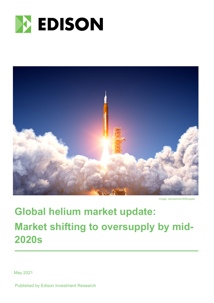



Image: istockphoto/3DSculptor

# **Global helium market update: Market shifting to oversupply by mid-2020s**

May 2021

Published by Edison Investment Research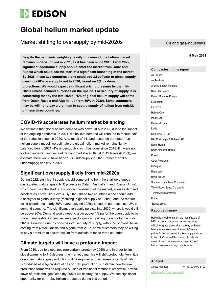

## **Global helium market update**

Market shifting to oversupply by mid-2020s

**5 May 2021 Despite the pandemic weighing heavily on demand, the helium market remains under-supplied in 2021, as it has been since 2018. From 2022, significant additional supply should enter the market from Qatar and Russia which could see the start of a significant loosening of the market. By 2026, these two countries alone could add 3.8bcf/year to global supply, causing >20% oversupply out to 2030, based on 2% pa demand projections. We would expect significant pricing pressure by the mid-2020s unless demand surprises on the upside. For security of supply, it is concerning that by the late 2020s, 75% of global helium supply will come from Qatar, Russia and Algeria (up from 50% in 2020). Some customers may be willing to pay a premium to secure supply of helium from outside of these three countries.**

### **COVID-19 accelerates helium market balancing**

We estimate that global helium demand was down 10% in 2020 due to the impact of the ongoing pandemic. In 2021, we believe demand will rebound to recoup half of the reduction seen in 2020. As a result of this and based on our bottom-up helium supply model, we estimate the global helium market remains tightly balanced during 2021 (4% undersupply), as it has done since 2018. If it were not for the pandemic, and instead demand had stayed flat at 2019 levels (6.2bcf), we estimate there would have been 13% undersupply in 2020 (rather than 3% undersupply) and 9% in 2021.

### **Significant oversupply likely from mid-2020s**

During 2022, significant supply should come online from the start-up of megagas/liquefied natural gas (LNG) projects in Qatar (Ras Laffan) and Russia (Amur), which could see the start of a significant loosening of the market, even as demand accelerates above 2019 levels. By 2026, these two countries alone should add 3.8bcf/year to global supply (resulting in global supply of 9.2bcf), and the market could experience nearly 30% oversupply (in 2026), based on our base case 2% pa demand scenario. The significant oversupply persists into 2030, where it would still be above 20%. Demand would need to grow above 4% pa for the oversupply to be more manageable. Otherwise, we expect significant pricing pressure by the mid-2020s. However, due to concerns over security of supply, with 75% of global helium coming from Qatar, Russia and Algeria from 2027, some customers may be willing to pay a premium to secure helium from outside of these three countries.

### **Climate targets will have a profound impact**

From 2030, due to global net zero carbon targets (by 2050) and in order to limit global warming to 1.5 degrees, the market dynamics will shift profoundly. Very little or no new natural gas production will be required and as currently >95% of helium is produced as a by-product of gas or LNG production, substantial new helium production forms will be required outside of traditional methods; otherwise, a winddown of traditional gas fields (by 2050) will destroy the supply. We see significant opportunity for pure-play helium producers during this period.

**Companies in this report** Air Liquide Air Products Arizona Energy Partners Blue Star Helium Desert Mountain Energy **ExxonMobil** Gazprom Helium One Irkutsk Oil Kinder Morgan Linde Matheson Tri-Gas NASCO Energie & Rohstoff AG Noble Helium North American Helium Praxair Qatar Petroleum **Qatargas** Renergen\* Royal Helium Sonatrach Petroleum Corporation Taiyo Nippon Sanso Corporation Tumbleweed Midstream Uniper \*Edison client

#### **Report summary**

Helium is a vital element in the manufacture of MRIs and semiconductors, as well as being critical for space exploration, rocketry and highlevel science. We assess the supply/demand picture for helium, examining key supply sources in the US, Qatar and Russia and globally. We also include some information on pricing and helium reserves, although data is limited.

#### **Analyst**

James Magness +44 (0) 20 3077 5700

oilandgas@edisongroup.com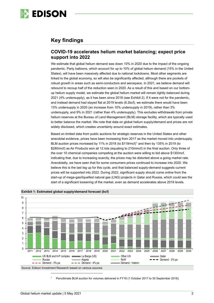

### **Key findings**

### **COVID-19 accelerates helium market balancing; expect price support into 2022**

We estimate that global helium demand was down 10% in 2020 due to the impact of the ongoing pandemic. Party balloons, which account for up to 10% of global helium demand (15% in the United States), will have been massively affected due to national lockdowns. Most other segments are linked to the global economy, so will also be significantly affected, although there are pockets of robust growth in areas such as semi-conductors and aerospace. In 2021, we believe demand will rebound to recoup half of the reduction seen in 2020. As a result of this and based on our bottomup helium supply model, we estimate the global helium market will remain tightly balanced during 2021 (4% undersupply), as it has been since 2018 (see Exhibit 2). If it were not for the pandemic, and instead demand had stayed flat at 2019 levels (6.2bcf), we estimate there would have been 13% undersupply in 2020 (an increase from 10% undersupply in 2019), rather than 3% undersupply, and 9% in 2021 (rather than 4% undersupply). This excludes withdrawals from private helium reserves at the Bureau of Land Management (BLM) storage facility, which are typically used to better balance the market. We note that data on global helium supply/demand and prices are not widely disclosed, which creates uncertainty around exact estimates.

Based on limited data from public auctions for strategic reserves in the United States and other anecdotal evidence, prices have been increasing from 2017 as the market moved into undersupply. BLM auction prices increased by [1](#page-2-0)1% in 2018 (to  $$119/mcf$ <sup>1</sup> and then by 135% in 2019 (to \$280/mcf) as Air Products won all 12 lots (equating to 210mmcf) in the final auction. Only three of the over 10 chemical companies competing at the auction were willing to bid above \$130/mcf, indicating that, due to increasing scarcity, the prices may be distorted above a going market rate. Anecdotally, we have seen that for some consumers prices continued to increase into 2020. We believe this is the last leg up for this cycle, and that balanced supply-demand suggests current prices will be supported into 2022. During 2022, significant supply should come online from the start-up of mega-gas/liquefied natural gas (LNG) projects in Qatar and Russia, which could see the start of a significant loosening of the market, even as demand accelerates above 2019 levels.



**Exhibit 1: Estimated global supply/demand forecast (bcf)**

<span id="page-2-0"></span><sup>1</sup> Penultimate BLM auction for volumes delivered in FY18 (1 October 2017 to 30 September 2018).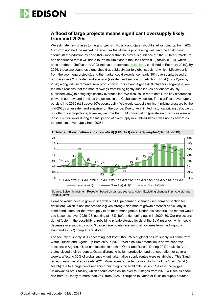

### **A flood of large projects means significant oversupply likely from mid-2020s**

We estimate new phases to mega-projects in Russia and Qatar should start ramping up from 2022. Gazprom updated the market in December that Amur is progressing well, and the final phase should start production by end-2024 (sooner than its previous guidance of 2025). Qatar Petroleum has announced that it will add a fourth helium plant to the Ras Laffan (RL) facility (RL 4), which adds another 1.2bcf/year by 2028 (above our previous [projections,](https://www.edisongroup.com/wp-content/uploads/2019/02/HeliumMacroUpdate2019.pdf) published in February 2019). By 2026, these two countries alone should add 3.8bcf/year to global supply (of which 3.5bcf/year is from the two mega projects), and the market could experience nearly 30% oversupply, based on our base case 2% pa demand scenario (see demand section for definition). RL 4 (1.2bcf/year by 2028) along with incremental new production in Russia and Algeria (0.8bcf/year in aggregate) are the main reasons that the market swings from being tightly supplied (as per our previously published view) to being significantly oversupplied. We discuss, in more detail, the key differences between our new and previous projections in the Global supply section. The significant oversupply persists into 2030 (still above 20% oversupply). We would expect significant pricing pressure by the mid-2020s unless demand surprises on the upside. Due to very limited historical pricing data, we do not offer price projections; however, we note that BLM conservation (private sector) prices were at least 30–70% lower during the last period of oversupply in 2013–14 (which was not as severe as the projected oversupply from 2026).



**Exhibit 2: Global helium surplus/(deficit) (LHS, bcf) versus % surplus/(deficit) (RHS)**

Source: Edison Investment Research based on various sources. Note \* Excluding changes in private storage (from supply).

Demand would need to grow in line with our 4% pa demand scenario (see demand section for definition), which is not inconceivable given strong Asian market growth potential particularly in semi-conductors, for the oversupply to be more manageable. Under this scenario, the market would see looseness over 2026–28, peaking at 13%, before tightening again in 2029–30. Our projections do not factor in the possibility of rebuilding private storage levels at the BLM reservoir, which could decrease oversupply by up to 3 percentage points (assuming all volumes from the Hugoton-Panhandle (H-P) complex are stored).

For security of supply, it is concerning that from 2027, 75% of global helium supply will come from Qatar, Russia and Algeria (up from 50% in 2020). While helium production is at two separate locations in Algeria, it is at one location in each of Qatar and Russia. During 2017, multiple Arab states closed their borders to Qatar, disrupting helium production and transportation for several weeks, affecting 30% of global supply, until alternative supply routes were established. This Saudiled embargo was lifted in early 2021. More recently, the temporary blocking of the Suez Canal (in March) due to a huge container ship running aground highlights issues. Russia is the biggest unknown; its Amur facility, which should come online over four stages from 2022, will see its share rise from 2% today to more than 25% from 2025. Disruption to Qatari or Russian supply sources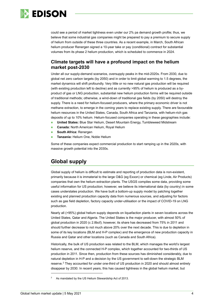

could see a period of market tightness even under our 2% pa demand growth profile; thus, we believe that some industrial gas companies might be prepared to pay a premium to secure supply of helium from outside of these three countries. As a recent example, in March, South African helium producer Renergen signed a 10-year take or pay (conditional) contract for substantial volumes from its phase 2 helium production, which is scheduled to commence in 2024.

### **Climate targets will have a profound impact on the helium market post-2030**

Under all our supply-demand scenarios, oversupply peaks in the mid-2020s. From 2030, due to global net zero carbon targets (by 2050) and in order to limit global warming to 1.5 degrees, the market dynamics will shift profoundly. Very little or no new natural gas production will be required (with existing production left to decline) and as currently >95% of helium is produced as a byproduct of gas or LNG production, substantial new helium production forms will be required outside of traditional methods; otherwise, a wind-down of traditional gas fields (by 2050) will destroy the supply. There is a need for helium-focused producers, where the primary economic driver is not methane extraction, to emerge in the coming years to replace existing supply. There are favourable helium resources in the United States, Canada, South Africa and Tanzania, with helium-rich gas deposits of up to 10% helium. Helium-focused companies operating in these geographies include:

- **United States:** Blue Star Helium, Desert Mountain Energy, Tumbleweed Midstream
- **Canada:** North American Helium, Royal Helium
- **South Africa:** Renergen
- **Tanzania:** Helium One, Noble Helium

Some of these companies expect commercial production to start ramping up in the 2020s, with massive growth potential into the 2030s.

### **Global supply**

Global supply of helium is difficult to estimate and reporting of production data is non-existent, primarily because it is immaterial to the large O&G (eg Exxon) or chemical (eg Linde, Air Products) companies that own the helium extraction plants. The USGS compiles some data, providing some useful information for US production; however, we believe its international data (by country) in some cases understates production. We have built a bottom-up supply model by patching together existing and planned production capacity data from numerous sources, and adjusting for factors such as gas field depletion, factory capacity under-utilisation or the impact of COVID-19 on LNG production.

Nearly all (>95%) global helium supply depends on liquefaction plants in seven locations across the United States, Qatar and Algeria. The United States is the major producer, with almost 50% of global production in 2020 (c 2.8bcf); however, its share has decreased from 75% in 2011 and should further decrease to not much above 20% over the next decade. This is due to depletion in some of its key locations (BLM and H-P complex) and the emergence of new production capacity in Russia and Qatar and other locations (such as Canada and South Africa).

Historically, the bulk of US production was related to the BLM, which manages the world's largest helium reserve, and the connected H-P complex, which together accounted for two-thirds of US production in 2011. Since then, production from these sources has diminished considerably, due to natural depletion in H-P and a decision by the US government to sell-down the strategic BLM reserve.[2](#page-4-0) They accounted for under one-third of US production in 2020 and should almost entirely disappear by 2030. In recent years, this has caused tightness in the global helium market, but

<span id="page-4-0"></span>As mandated by the US Helium Stewardship Act of 2013.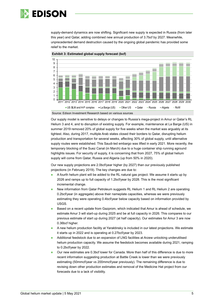

supply-demand dynamics are now shifting. Significant new supply is expected in Russia (from later this year) and Qatar, adding combined new annual production of 3.7bcf by 2027. Meanwhile, unprecedented demand destruction caused by the ongoing global pandemic has provided some relief to the market.





Source: Edison Investment Research based on various sources

Our supply model is sensitive to delays or changes to Russia's mega-project in Amur or Qatar's RL Helium 3 and 4, and to disruption of existing supply. For example, maintenance at La Barge (US) in summer 2019 removed 20% of global supply for five weeks when the market was arguably at its tightest. Also, during 2017, multiple Arab states closed their borders to Qatar, disrupting helium production and transportation for several weeks, affecting 30% of global supply, until alternative supply routes were established. This Saudi-led embargo was lifted in early 2021. More recently, the temporary blocking of the Suez Canal (in March) due to a huge container ship running aground highlights issues. For security of supply, it is concerning that from 2027, 75% of global helium supply will come from Qatar, Russia and Algeria (up from 50% in 2020).

Our new supply projections are 2.0bcf/year higher (by 2027) than our previously published projections (in February 2019). The key changes are due to:

- A fourth helium plant will be added to the RL natural gas project. We assume it starts up by 2026 and ramps up to full capacity of 1.2bcf/year by 2028. This is the most significant incremental change.
- New information from Qatar Petroleum suggests RL Helium 1 and RL Helium 2 are operating 0.2bcf/year (in aggregate) above their nameplate capacities, whereas we were previously estimating they were operating 0.4bcf/year below capacity based on information provided by USGS.
- Based on a recent update from Gazprom, which indicated that Amur is ahead of schedule, we estimate Amur 3 will start-up during 2025 and be at full capacity in 2026. This compares to our previous estimate of start up during 2027 (at half capacity). Our estimates for Amur 3 are now 0.36bcf higher.
- A new helium production facility at Yaraktinsky is included in our latest projections. We estimate it starts up in 2022 and is operating at 0.27bcf/year by 2023.
- Additional feedstock due to an expansion of LNG facilities at Arzew unlocking underutilised helium production capacity. We assume the feedstock becomes available during 2021, ramping to 0.2bcf/year by 2022.
- Our new estimates are 0.3bcf lower for Canada. More than half of this difference is due to more recent information suggesting production at Battle Creek is lower than we were previously estimating (50mmcf/year vs 200mmcf/year previously). The remaining difference is due to revising down other production estimates and removal of the Medicine Hat project from our forecasts due to a lack of visibility.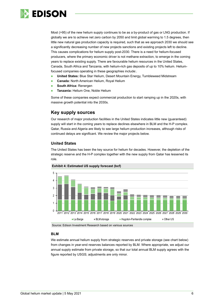

Most (>95) of the new helium supply continues to be as a by-product of gas or LNG production. If globally we are to achieve net zero carbon by 2050 and limit global warming to 1.5 degrees, then little new natural gas production capacity is required, such that as we approach 2030 we should see a significantly decreasing number of new projects sanctions and existing projects left to decline. This causes complications for helium supply post-2030. There is a need for helium-focused producers, where the primary economic driver is not methane extraction, to emerge in the coming years to replace existing supply. There are favourable helium resources in the United States, Canada, South Africa and Tanzania, with helium-rich gas deposits of up to 10% helium. Heliumfocused companies operating in these geographies include:.

- **United States:** Blue Star Helium, Desert Mountain Energy, Tumbleweed Midstream
- **Canada:** North American Helium, Royal Helium
- **South Africa:** Renergen
- **Tanzania: Helium One, Noble Helium**

Some of these companies expect commercial production to start ramping up in the 2020s, with massive growth potential into the 2030s.

### **Key supply sources**

Our research of major production facilities in the United States indicates little new (guaranteed) supply will start in the coming years to replace declines elsewhere in BLM and the H-P complex. Qatar, Russia and Algeria are likely to see large helium production increases, although risks of continued delays are significant. We review the major projects below.

### **United States**

The United States has been the key source for helium for decades. However, the depletion of the strategic reserve and the H-P complex together with the new supply from Qatar has lessened its role.



Source: Edison Investment Research based on various sources

#### **BLM**

We estimate annual helium supply from strategic reserves and private storage (see chart below) from changes in year-end reserves balances reported by BLM. Where appropriate, we adjust our annual supply estimate from private storage, so that our total annual BLM supply agrees with the figure reported by USGS; adjustments are only minor.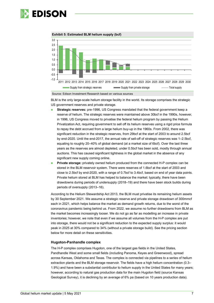

**Exhibit 5: Estimated BLM helium supply (bcf)**



Source: Edison Investment Research based on various sources

BLM is the only large-scale helium storage facility in the world. Its storage comprises the strategic US government reserves and private storage.

- **Strategic reserves:** pre-1996, US Congress mandated that the federal government keep a reserve of helium. The strategic reserves were maintained above 30bcf in the 1990s, however, in 1996, US Congress moved to privatise the federal helium program by passing the Helium Privatization Act, requiring government to sell off its helium reserves using a rigid price formula to repay the debt accrued from a large helium buy-up in the 1960s. From 2002, there was significant reduction in the strategic reserves, from 29bcf at the start of 2003 to around 2.5bcf by end-2020. Until the end-2017, the annual rate of sell-off of strategic reserves was 1–2.5bcf, equating to roughly 20–40% of global demand (at a market size of 6bcf). Over the last three years as the reserves are almost depleted, under 0.5bcf has been sold, mostly through annual auctions. This has caused significant tightness in the global market in the absence of any significant new supply coming online.
- **Private storage:** privately owned helium produced from the connected H-P complex can be stored in the BLM reservoir system. There were reserves of 1.6bcf at the start of 2003 and close to 2.5bcf by end-2020, with a range of 0.7bcf to 3.4bcf, based on end of year data points. Private helium stored at BLM has helped to balance the market: typically, there have been drawdowns during periods of undersupply (2018–19) and there have been stock builds during periods of oversupply (2013–16).

According to the Helium Stewardship Act 2013, the BLM must privatise its remaining helium assets by 30 September 2021. We assume a strategic reserve and private storage drawdown of 300mmcf each in 2021, which helps balance the market as demand growth returns, due to the worst of the coronavirus pandemic being behind us. From 2022, we assume no further drawdowns from BLM as the market becomes increasingly looser. We do not go as far as modelling an increase in private inventories; however, we note that even if we assume all volumes from the H-P complex are put into storage, there would not be a significant reduction to the expected supply surplus: it would peak in 2025 at 30% compared to 34% (without a private storage build). See the pricing section below for more detail on these sensitivities.

#### **Hugoton-Panhandle complex**

The H-P complex comprises Hugoton, one of the largest gas fields in the United States, Pandhandle West and some small fields (including Panoma, Keyes and Greenwood), spread across Kansas, Oklahoma and Texas. The complex is connected via pipelines to a series of helium extraction plants and the BLM storage reservoir. The fields have a high helium concentration (0.3– 1.9%) and have been a substantial contributor to helium supply in the United States for many years; however, according to natural gas production data for the main Hugoton field (source Kansas Geological Survey), it is declining by an average of 6% pa (based on 10 years production data).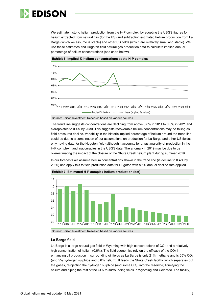

We estimate historic helium production from the H-P complex, by adopting the USGS figures for helium extracted from natural gas (for the US) and subtracting estimated helium production from La Barge (which we assume is stable) and other US fields (which are relatively small and stable). We use these estimates and Hugoton field natural gas production data to calculate implied annual percentage of helium concentrations (see chart below).





Source: Edison Investment Research based on various sources

The trend line suggests concentrations are declining from above 0.8% in 2011 to 0.6% in 2021 and extrapolates to 0.4% by 2030. This suggests recoverable helium concentrations may be falling as field pressures decline. Variability in the historic implied percentage of helium around the trend line could be due to a combination of our assumptions on production for La Barge and other US fields; only having data for the Hugoton field (although it accounts for a vast majority of production in the H-P complex); and inaccuracies in the USGS data. The anomaly in 2019 may be due to us overestimating the impact of the closure of the Shute Creek helium plant during summer 2019.

In our forecasts we assume helium concentrations shown in the trend line (ie decline to 0.4% by 2030) and apply this to field production data for Hugoton with a 6% annual decline rate applied.



**Exhibit 7: Estimated H-P complex helium production (bcf)**

Source: Edison Investment Research based on various sources

#### **La Barge field**

La Barge is a large natural gas field in Wyoming with high concentrations of  $CO<sub>2</sub>$  and a relatively high concentration of helium ( $0.6\%$ ). The field economics rely on the efficacy of the CO<sub>2</sub> in enhancing oil production in surrounding oil fields as La Barge is only 21% methane and is  $65\%$  CO<sub>2</sub> (and 5% hydrogen sulphide and 0.6% helium). It feeds the Shute Creek facility, which separates out the gases, reinjecting the hydrogen sulphide (and some  $CO<sub>2</sub>$ ) into the reservoir, liquefying the helium and piping the rest of the  $CO<sub>2</sub>$  to surrounding fields in Wyoming and Colorado. The facility,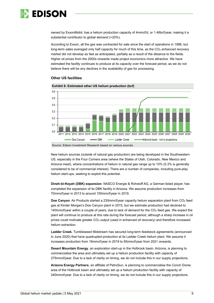

owned by ExxonMobil, has a helium production capacity of 4mmcf/d, or 1.46bcf/year, making it a substantial contributor to global demand (>20%).

According to Exxon, all the gas was contracted for sale since the start of operations in 1986, but long-term sales averaged only half capacity for much of this time, as the CO<sub>2</sub> enhanced recovery market did not develop as fast as anticipated, partially as a result of the distance to the fields. Higher oil prices from the 2000s onwards made project economics more attractive. We have estimated the facility continues to produce at its capacity over the forecast period, as we do not believe there will be any declines in the availability of gas for processing.





New helium sources (outside of natural gas production) are being developed in the Southwestern US, especially in the Four Corners area (where the States of Utah, Colorado, New Mexico and Arizona meet), where concentrations of helium in natural gas range up to 10% (0.3% is generally considered to be of commercial interest). There are a number of companies, including pure-play helium start-ups, seeking to exploit this potential.

**Dineh-bi-Keyah (DBK) expansion**. NASCO Energie & Rohstoff AG, a German-listed player, has completed the expansion of its DBK facility in Arizona. We assume production increases from 70mmcf/year in 2013 to around 150mmcf/year in 2019.

**Doe Canyon**. Air Products started a 230mmcf/year capacity helium separation plant from CO2 feed gas at Kinder Morgan's Doe Canyon plant in 2015, but we estimate production had declined to 140mmcf/year within a couple of years, due to lack of demand for the CO2 feed gas. We expect the plant will continue to produce at this rate during the forecast period, although a sharp increase in oil prices could motivate greater CO2 output (used in enhanced oil recovery) and therefore increased helium extraction.

**Ladder Creek.** Tumbleweed Midstream has secured long-term feedstock agreements (announced in June 2020) that have quadrupled production at its Ladder Creek helium plant. We assume it increases production from 16mmcf/year in 2019 to 65mmcf/year from 2021 onwards.

**Desert Mountain Energy**, an exploration start-up in the Holbrook basin, Arizona, is planning to commercialise the area and ultimately set up a helium production facility with capacity of 275mmcf/year. Due to a lack of clarity on timing, we do not include this in our supply projections.

**Arizona Energy Partners**, an affiliate of PetroSun, is planning to commercialise the Conch Dome area of the Holbrook basin and ultimately set up a helium production facility with capacity of 240mmcf/year. Due to a lack of clarity on timing, we do not include this in our supply projections.

Source: Edison Investment Research based on various sources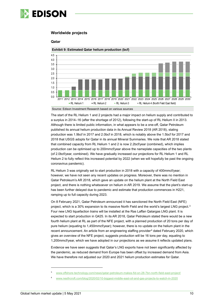

### **Worldwide projects**

#### **Qatar**





The start of the RL Helium 1 and 2 projects had a major impact on helium supply and contributed to a surplus in 2014–16 (after the shortage of 2012), following the start-up of RL Helium II in 2013. Although there is limited public information, in what appears to be a one-off, Qatar Petroleum published its annual helium production data in its Annual Review 2018 (AR 2018), stating production was 1.9bcf in 2017 and 2.0bcf in 2018, which is notably above the 1.5bcf for 2017 and 2018 that USGS adopts for Qatar in its annual Mineral Summaries. We note that AR 2018 stated that combined capacity from RL Helium 1 and 2 is now 2.2bcf/year (combined), which implies production can be optimised up to 200mmcf/year above the nameplate capacities of the two plants (of 2.0bcf/year, combined). We have gradually increased our projections for RL Helium 1 and RL Helium 2 to fully reflect this increased potential by 2022 (when we will hopefully be past the ongoing coronavirus pandemic).

RL Helium 3 was originally set to start production in 2018 with a capacity of 400mmcf/year; however, we have not seen any recent updates on progress. Moreover, there was no mention in Qatar Petroleum's AR 2018, which gave an update on the helium plant at the North Field East project, and there is nothing whatsoever on helium in AR 2019. We assume that the plant's start-up has been further delayed due to pandemic and estimate that production commences in H221, ramping up to full capacity during 2023.

On 8 February 2021, Qatar Petroleum announced it has sanctioned the North Field East (NFE) project, which is a 30% expansion to its massive North Field and the world's largest LNG project.[3](#page-10-0) Four new LNG liquefaction trains will be installed at the Ras Laffan Qatargas LNG plant. It is expected to start production in Q425. In its AR 2018, Qatar Petroleum stated there would be a new fourth helium plant at RL as part of the NFE project, with a planned production of 20 tons per day of pure helium (equating to 1,450mmcf/year); however, there is no update on the helium plant in the recent announcement. An article from an engineering staffing provider<sup>[4](#page-10-1)</sup> dated February 2020, which gives an overview of the NFE project, suggests production will be 16 tons per day, equating to 1,200mmcf/year, which we have adopted in our projections as we assume it reflects updated plans.

Evidence we have seen suggests that Qatar's LNG exports have not been significantly affected by the pandemic, as reduced demand from Europe has been offset by increased demand from Asia. We have therefore not adjusted our 2020 and 2021 helium production estimates for Qatar.

Source: Edison Investment Research based on various sources

<span id="page-10-1"></span><span id="page-10-0"></span><sup>3</sup> [www.offshore-technology.com/news/qatar-petroleum-makes-fid-on-28-7bn-north-field-east-project/](http://www.offshore-technology.com/news/qatar-petroleum-makes-fid-on-28-7bn-north-field-east-project/)

<sup>4</sup> [www.nesfircroft.com/blog/2020/02/10-biggest-middle-east-oil-and-gas-projects-to-watch-in-2020](http://www.nesfircroft.com/blog/2020/02/10-biggest-middle-east-oil-and-gas-projects-to-watch-in-2020)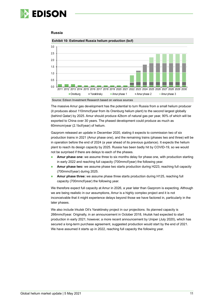

#### **Russia**



#### **Exhibit 10: Estimated Russia helium production (bcf)**

Source: Edison Investment Research based on various sources

The massive Amur gas development has the potential to turn Russia from a small helium producer (it produces about 110mmcf/year from its Orenburg helium plant) to the second largest globally (behind Qatar) by 2025. Amur should produce 42bcm of natural gas per year, 90% of which will be exported to China over 30 years. The phased development could produce as much as 60mmcm/year (2.1bcf/year) of helium.

Gazprom released an update in December 2020, stating it expects to commission two of six production trains in 2021 (Amur phase one), and the remaining trains (phases two and three) will be in operation before the end of 2024 (a year ahead of its previous guidance). It expects the helium plant to reach its design capacity by 2025. Russia has been badly hit by COVID-19, so we would not be surprised if there are delays to each of the phases.

- **Amur phase one:** we assume three to six months delay for phase one, with production starting in early 2022 and reaching full capacity (700mmcf/year) the following year.
- **Amur phase two:** we assume phase two starts production during H223, reaching full capacity (700mmcf/year) during 2025.
- **Amur phase three:** we assume phase three starts production during H125, reaching full capacity (700mmcf/year) the following year.

We therefore expect full capacity at Amur in 2026, a year later than Gazprom is expecting. Although we are being realistic in our assumptions, Amur is a highly complex project and it is not inconceivable that it might experience delays beyond those we have factored in, particularly in the later phases.

We also include Irkutsk Oil's Yaraktinsky project in our projections. Its planned capacity is 266mmcf/year. Originally, in an announcement in October 2018, Irkutsk had expected to start production in early 2021; however, a more recent announcement by Uniper (July 2020), which has secured a long-term purchase agreement, suggested production would start by the end of 2021. We have assumed it starts up in 2022, reaching full capacity the following year.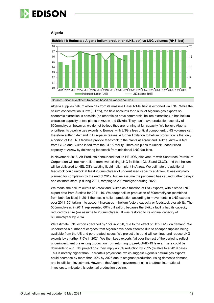

#### **Algeria**



**Exhibit 11: Estimated Algeria helium production (LHS, bcf) vs LNG volumes (RHS, bcf)**

Source: Edison Investment Research based on various sources

Algeria supplies helium when gas from its massive Hassi R'Mel field is exported via LNG. While the helium concentration is low (0.17%), the field accounts for c 60% of Algerian gas exports so economic extraction is possible (no other fields have commercial helium extraction). It has helium extraction capacity at two plants in Arzew and Skikda. They each have production capacity of 600mmcf/year; however, we do not believe they are running at full capacity. We believe Algeria prioritises its pipeline gas exports to Europe, with LNG a less critical component. LNG volumes can therefore suffer if demand in Europe increases. A further limitation to helium production is that only a portion of the LNG facilities provide feedstock to the plants at Arzew and Skikda. Arzew is fed from GL2Z and Skikda is fed from the GL1K facility. There are plans to unlock underutilised capacity at Arzew by delivering feedstock from additional LNG facilities.

In November 2018, Air Products announced that its HELIOS joint venture with Sonatrach Petroleum Corporation will recover helium from two existing LNG facilities (GL1Z and GL3Z), and that helium will be delivered to HELIOS's existing liquid helium plant in Arzew. We estimate the additional feedstock could unlock at least 200mmcf/year of underutilised capacity at Arzew. It was originally planned for completion by the end of 2019, but we assume the pandemic has caused further delays and estimate start up during 2021, ramping to 200mmcf/year during 2022.

We model the helium output at Arzew and Skikda as a function of LNG exports, with historic LNG export data from Statista for 2011–19. We adopt helium production of 500mmcf/year (combined from both facilities) in 2011 then scale helium production according to movements in LNG exports over 2011–30, taking into account increases in helium factory capacity or feedstock availability. The 500mmcf/year, in 2011, represented 60% utilisation, because the Skikda facility had its capacity reduced by a fire (we assume to 250mmcf/year). It was restored to its original capacity of 600mmcf/year by 2014.

We estimate LNG exports declined by 15% in 2020, due to the effect of COVID-19 on demand. We understand a number of cargoes from Algeria have been affected due to cheaper supplies being available from the US and port-related issues. We project this trend will continue and reduce LNG exports by a further 7.5% in 2021. We then keep exports flat over the rest of the period to reflect underinvestment preventing production from returning to pre-COVID-19 levels. There could be downside to our LNG projections: they imply a 20% reduction by 2025 (relative to a 2019 base). This is notably higher than Enerdata's projections, which suggest Algeria's natural gas exports could decrease by more than 40% by 2025 due to stagnant production, rising domestic demand and insufficient investment. However, the Algerian government aims to attract international investors to mitigate this potential production decline.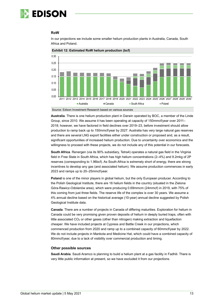

#### **RoW**



In our projections we include some smaller helium production plants in Australia, Canada, South Africa and Poland.



Source: Edison Investment Research based on various sources

**Australia**. There is one helium production plant in Darwin operated by BOC, a member of the Linde Group, since 2010. We assume it has been operating at capacity of 150mmcf/year over 2011– 2018; however, we have factored in field declines over 2019–23, before investment should allow production to ramp back up to 150mmcf/year by 2027. Australia has very large natural gas reserves and there are several LNG export facilities either under construction or proposed and, as a result, significant opportunities of increased helium production. Due to uncertainty over economics and the willingness to proceed with these projects, we do not include any of this potential in our forecasts.

**South Africa**. Renergen (via its 90% subsidiary, Tetra4) operates a natural gas field in the Virginia field in Free State in South Africa, which has high helium concentrations (2–4%) and 9.2mkg of 2P reserves (corresponding to 1.96bcf). As South Africa is extremely short of energy, there are strong incentives to develop any gas (and associated helium). We assume production commences in early 2023 and ramps up to 20–25mmcf/year.

**Poland** is one of the minor players in global helium, but the only European producer. According to the Polish Geological Institute, there are 16 helium fields in the country (situated in the Zielona Góra-Rawicz-Odolanów area), which were producing 0.69mmcm (24mmcf) in 2019, with 75% of this coming from just three fields. The reserve life of the complex is over 30 years. We assume a 4% annual decline based on the historical average (10-year) annual decline suggested by Polish Geological Institute data.

**Canada**. There are a number of projects in Canada of differing maturities. Exploration for helium in Canada could be very promising given proven deposits of helium in deeply buried traps, often with little associated  $CO<sub>2</sub>$  or other gases (other than nitrogen) making extraction and liquefaction cheaper. We have included projects at Cypress and Battle Creek in our projections, which commenced production from 2020 and ramp up to a combined capacity of 60mmcf/year by 2022. We do not include projects in Mankota and Medicine Hat, which could have a combined capacity of 80mmcf/year, due to a lack of visibility over commercial production and timing.

#### **Other possible sources**

**Saudi Arabia**. Saudi Aramco is planning to build a helium plant at a gas facility in Fadhili. There is very little public information at present, so we have excluded it from our projections.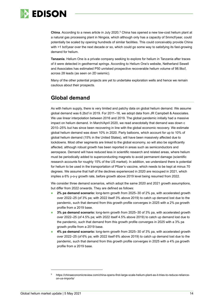

**China**. According to a news article in July 2020,<sup>[5](#page-14-0)</sup> China has opened a new low-cost helium plant at a natural gas processing plant in Ningxia, which although only has a capacity of 5mmcf/year, could potentially be scaled by opening hundreds of similar facilities. This could conceivably provide China with >1 bcf/year over the next decade or so, which could go some way to satisfying its fast-growing demand for helium.

**Tanzania**. Helium One is a private company seeking to explore for helium in Tanzania after traces of it were detected in geothermal springs. According to Helium One's website, Netherland Sewell and Associates has estimated P50 unrisked prospective recoverable helium volume of 98.9bcf, across 28 leads (as seen on 2D seismic).

Many of the other potential projects are yet to undertake exploration wells and hence we remain cautious about their prospects.

### **Global demand**

As with helium supply, there is very limited and patchy data on global helium demand. We assume global demand was 6.2bcf in 2019. For 2011–16, we adopt data from JR Campbell & Associates. We use linear interpolation between 2016 and 2019. The global pandemic initially had a massive impact on helium demand. In March/April 2020, we read anecdotally that demand was down c 2010–25% but has since been recovering in line with the global economic recovery. We estimate global helium demand was down 10% in 2020. Party balloons, which account for up to 10% of global helium demand (15% in the United States), will have been massively affected due to lockdowns. Most other segments are linked to the global economy, so will also be significantly affected, although robust growth has been reported in areas such as semiconductors and aerospace. Demand will have reduced less in scientific research and related areas, where helium must be periodically added to superconducting magnets to avoid permanent damage (scientific research accounts for roughly 15% of the US market). In addition, we understand there is potential for helium to be used in the transportation of Pfizer's vaccine, which needs to be kept at minus 70 degrees. We assume that half of the declines experienced in 2020 are recouped in 2021, which implies a 6% y-o-y growth rate, before growth above 2019 level being resumed from 2022.

We consider three demand scenarios, which adopt the same 2020 and 2021 growth assumptions, but differ from 2022 onwards. They are defined as follows:

- **2% pa demand scenario:** long-term growth from 2025–30 of 2% pa, with accelerated growth over 2022–25 (of 3% pa; with 2022 itself 3% above 2019) to catch up demand lost due to the pandemic, such that demand from this growth profile converges in 2025 with a 2% pa growth profile from a 2019 base.
- **3% pa demand scenario:** long-term growth from 2025–30 of 3% pa, with accelerated growth over 2022–25 (of 4.5% pa; with 2022 itself 4.5% above 2019) to catch up demand lost due to the pandemic, such that demand from this growth profile converges in 2025 with a 3% pa growth profile from a 2019 base.
- **4% pa demand scenario:** long-term growth from 2025–30 of 3% pa, with accelerated growth over 2022–25 (of 6% pa; with 2022 itself 6% above 2019) to catch up demand lost due to the pandemic, such that demand from this growth profile converges in 2025 with a 4% pa growth profile from a 2019 base.

<span id="page-14-0"></span><sup>5</sup> https://chinaeconomicreview.com/china-opens-first-large-scale-helium-plant-as-it-tries-to-reduce-relianceon-us-imports/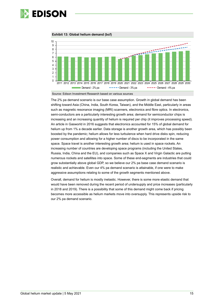

**Exhibit 13: Global helium demand (bcf)**



Source: Edison Investment Research based on various sources

The 2% pa demand scenario is our base case assumption. Growth in global demand has been shifting toward Asia (China, India, South Korea, Taiwan), and the Middle East, particularly in areas such as magnetic resonance imaging (MRI) scanners, electronics and fibre optics. In electronics, semi-conductors are a particularly interesting growth area; demand for semiconductor chips is increasing and an increasing quantity of helium is required per chip (it improves processing speed). An article in Gasworld in 2016 suggests that electronics accounted for 15% of global demand for helium up from 1% a decade earlier. Data storage is another growth area, which has possibly been boosted by the pandemic; helium allows for less turbulence when hard drive disks spin, reducing power consumption and allowing for a higher number of discs to be incorporated in the same space. Space travel is another interesting growth area; helium is used in space rockets. An increasing number of countries are developing space programs (including the United States, Russia, India, China and the EU), and companies such as Space X and Virgin Galactic are putting numerous rockets and satellites into space. Some of these end-segments are industries that could grow substantially above global GDP, so we believe our 2% pa base case demand scenario is realistic and achievable. Even our 4% pa demand scenario is attainable, if one were to make aggressive assumptions relating to some of the growth segments mentioned above.

Overall, demand for helium is mostly inelastic. However, there is some more elastic demand that would have been removed during the recent period of undersupply and price increases (particularly in 2018 and 2019). There is a possibility that some of this demand might come back if pricing becomes more accessible as helium markets move into oversupply. This represents upside risk to our 2% pa demand scenario.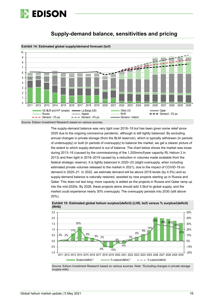



### **Supply-demand balance, sensitivities and pricing**

Source: Edison Investment Research based on various sources.

The supply-demand balance was very tight over 2018–19 but has been given some relief since 2020 due to the ongoing coronavirus pandemic, although is still tightly balanced. By excluding annual changes in private storage (from the BLM reservoir), which is typically withdrawn (in periods of undersupply) or built (in periods of oversupply) to balance the market, we get a clearer picture of the extent to which supply-demand is out of balance. The chart below shows the market was loose during 2013–16 (caused by the commissioning of the 1,200mmcf/year capacity RL Helium 2 in 2013) and then tight in 2018–2019 caused by a reduction in volumes made available from the federal strategic reserve). It is tightly balanced in 2020–23 (slight oversupply, when including estimated private volumes released to the market in 2021), due to the impact of COVID-19 on demand in 2020–21. In 2022, we estimate demand will be above 2019 levels (by 4.5%) and so supply-demand balance is naturally restored, assisted by new projects starting up in Russia and Qatar. This does not last long; more capacity is added as the projects in Russia and Qatar ramp up into the mid-2020s. By 2026, these projects alone should add 3.5bcf to global supply, and the market could experience nearly 30% oversupply. The oversupply persists into 2030 (still above 20%).



**Exhibit 15: Estimated global helium surplus/(deficit) (LHS, bcf) versus % surplus/(deficit) (RHS)**

Source: Edison Investment Research based on various sources. Note: \*Excluding changes in private storage (supply-side).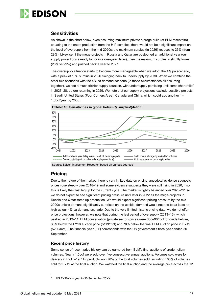

### **Sensitivities**

As shown in the chart below, even assuming maximum private storage build (at BLM reservoirs), equating to the entire production from the H-P complex, there would not be a significant impact on the level of oversupply from the mid-2020s; the maximum surplus (in 2026) reduces to 25% (from 29%). Likewise, if the mega-projects in Russia and Qatar are postponed an additional year (our supply projections already factor in a one-year delay), then the maximum surplus is slightly lower (26% vs 29%) and pushed back a year to 2027.

The oversupply situation starts to become more manageable when we adopt the 4% pa scenario, with a peak of 13% surplus in 2026 swinging back to undersupply by 2030. When we combine the other two scenarios with the 4% pa demand scenario (ie those circumstances all occurring together), we see a much trickier supply situation, with undersupply persisting until some short relief in 2027–28, before returning in 2029. We note that our supply projections exclude possible projects in Saudi, United States (Four Corners Area), Canada and China, which could add another 1– 1.5bcf/year by 2030.





### **Pricing**

Due to the nature of the market, there is very limited data on pricing; anecdotal evidence suggests prices rose steeply over 2018–19 and some evidence suggests they were still rising in 2020; if so, this is likely their last leg up for the current cycle. The market is tightly balanced over 2020–22, so we do not expect to see significant pricing pressure until later in 2022 as the mega-projects in Russia and Qatar ramp up production. We would expect significant pricing pressure by the mid-2020s unless demand significantly surprises on the upside; demand would need to be at least as high as our 4% pa demand scenario. Due to the very limited historic pricing data, we do not offer price projections; however, we note that during the last period of oversupply (2013–16), which peaked in 2013–14, BLM conservation (private sector) prices were \$80–90/mcf for crude helium, 30% below the FY18 auction price (\$119/mcf) and 70% below the final BLM auction price in FY19 (\$280/mcf). The financial year (FY) corresponds with the US government's fiscal year ended 30 September.

#### **Recent price history**

Some sense of recent price history can be garnered from BLM's final auctions of crude helium volumes. Nearly 1.5bcf were sold over five consecutive annual auctions. Volumes sold were for delivery in FY15–19.<sup>[6](#page-17-0)</sup> Air products won 70% of the total volumes sold, including 100% of volumes sold for FY19 at the final auction. We watched the final auction and the average price across the 12

Source: Edison Investment Research based on various sources

<span id="page-17-0"></span>US FY20XX = year to 30 September 20XX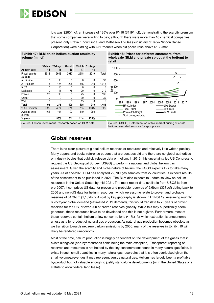

lots was \$280/mcf, an increase of 135% over FY18 (\$119/mcf), demonstrating the scarcity premium that some companies were willing to pay; although there were more than 10 chemical companies present, only Praxair (now Linde) and Matheson Tri-Gas (subsidiary of Taiyo Nippon Sanso Corporation) were bidding with Air Products when bid prices rose above \$130/mcf.

**Exhibit 17: BLM crude helium auction results by volume (mmcf)**

|                                                      | $30 -$ Jul- | 26-Aug- | $20 -$ Jul- | 19 Jul- | 31-Aug- |       |
|------------------------------------------------------|-------------|---------|-------------|---------|---------|-------|
| <b>Auction date</b>                                  | 14          | 15      | 16          | 17      | 18      |       |
| <b>Fiscal year to</b>                                | 2015        | 2016    | 2017        | 2018    | 2019    | Total |
| 30 Sep:                                              |             |         |             |         |         |       |
| Air Liquide                                          | 0           | 30      | 0           | 0       | 0       | 30    |
| Air Products                                         | 73          | 125     | 225         | 385     | 210     | 1.018 |
| <b>IACX</b>                                          | 0           | 15      | 0           | 0       | 0       | 15    |
| Matheson                                             | 0           | 15      | 175         | 20      | 0       | 210   |
| Praxair                                              | 20          | 90      | 0           | 25      | 0       | 135   |
| Uniper                                               | 0           | 0       | 0           | 30      | 0       | 30    |
| Weil                                                 | 0           | 0       | 0           | 15      | 0       | 15    |
| Total                                                | 93          | 275     | 400         | 475     | 210     | 1,453 |
| % Air Products                                       | 78%         | 45%     | 56%         | 81%     | 100%    | 70%   |
| Average price<br>$(\$/mcf)$                          | 161         | 104     | 107         | 119     | 280     |       |
| % y-o-y                                              |             | $-36%$  | 3%          | 11%     | 135%    |       |
| Source: Edison Invostment Pessarch based on RLM data |             |         |             |         |         |       |

**Exhibit 18: Prices for different customers, from wholesale (BLM and private spigot at the bottom) to retail**



Source: Edison Investment Research based on BLM data Source: USGS, 'Determination of fair market pricing of crude helium', assorted sources for spot prices

### **Global reserves**

There is no clear picture of global helium reserves or resources and relatively little written publicly. Many papers and books reference papers that are decades old and there are no global authorities or industry bodies that publicly release data on helium. In 2013, this uncertainty led US Congress to request the US Geological Survey (USGS) to perform a national and global helium gas assessment. Given the scarcity and niche nature of helium, the USGS expects this to take many years. As of end-2020 BLM has analysed 22,700 gas samples from 27 countries. It expects results of the assessment to be published in 2021. The BLM also expects to update its view on helium resources in the United States by mid-2021. The most recent data available from USGS is from pre-2007; it comprises US data for proven and probable reserves of 9.6bcm (337bcf) dating back to 2006 and non-US data for helium resources, which we assume relate to proven and probable reserves of 31.3bcm (1,102bcf). A split by key geography is shown in Exhibit 19. Assuming roughly 6.2bcf/year global demand (estimated 2019 demand), this would translate to 25 years of proven reserves for the US, or over 200 of proven reserves globally. While this may superficially seem generous, these resources have to be developed and this is not a given. Furthermore, most of these reserves contain helium at low concentrations (<1%), for which extraction is uneconomic unless as a by-product of natural gas production. As natural gas production becomes obsolete as we transition towards net zero carbon emissions by 2050, many of the reserves in Exhibit 19 will likely be rendered uneconomic.

Most of the time, helium production is hugely dependent on the development of the gases that it exists alongside (non-hydrocarbons fields being the main exception). Transparent reporting of reserves and resources is not helped by the tiny concentrations found in many natural gas fields. It exists in such small quantities in many natural gas reservoirs that it is often overlooked given the small volumes/revenues it may represent versus natural gas. Helium has largely been a profitable by-product but not valuable enough to justify standalone developments (or in the United States of a statute to allow federal land lease).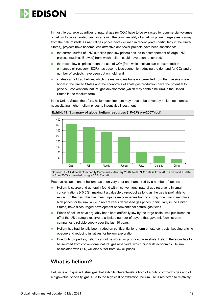

In most fields, large quantities of natural gas (or CO<sub>2</sub>) have to be extracted for commercial volumes of helium to be separated, and as a result, the commerciality of a helium project largely rests away from the helium itself. As natural gas prices have declined in recent years (particularly in the United States), projects have become less attractive and fewer projects have been sanctioned:

- the current surfeit of LNG supplies (and low prices) has led to postponement of large LNG projects (such as Browse) from which helium could have been recovered;
- the recent low oil prices mean the use of  $CO<sub>2</sub>$  (from which helium can be extracted) in enhanced oil recovery (EOR) has become less economic, reducing the demand for  $CO<sub>2</sub>$  and a number of projects have been put on hold; and
- shales cannot trap helium, which means supplies have not benefited from the massive shale boom in the United States and the economics of shale gas production have the potential to price out conventional natural gas development (which may contain helium) in the United States in the medium term.

In the United States therefore, helium development may have to be driven by helium economics, necessitating higher helium prices to incentivise investment.



**Exhibit 19: Summary of global helium resources (1P+2P) pre-2007\*(bcf)**

Source: USGS Mineral Commodity Summaries, January 2016. Note: \*US data is from 2006 and non-US data is from 2003; converted using a 35.2cf/m ratio.

Reserve replacement of helium has been very poor and hampered by a number of factors:

- Helium is scarce and generally found within conventional natural gas reservoirs in small concentrations (<0.5%), making it a valuable by-product as long as the gas is profitable to extract. In the past, this has meant upstream companies had no strong incentive to negotiate high prices for helium, while in recent years depressed gas prices (particularly in the United States) have discouraged development of conventional natural gas fields.
- Prices of helium have arguably been kept artificially low by the large-scale, well-publicised selloff of the US strategic reserve to a limited number of buyers that gave mid/downstream companies a reliable supply over the last 10 years.
- Helium has traditionally been traded on confidential long-term private contracts, keeping pricing opaque and reducing initiatives for helium exploration.
- Due to its properties, helium cannot be stored or produced from shale. Helium therefore has to be sourced from conventional natural gas reservoirs, which hinder its economics. Helium associated with CO<sub>2</sub>, will also suffer from low oil prices.

### **What is helium?**

Helium is a unique industrial gas that exhibits characteristics both of a bulk, commodity gas and of a high-value 'specialty' gas. Due to the high cost of extraction, helium use is restricted to relatively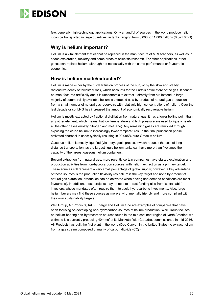

few, generally high-technology applications. Only a handful of sources in the world produce helium; it can be transported in large quantities, in tanks ranging from 5,000 to 11,000 gallons (0.8–1.8mcf).

### **Why is helium important?**

Helium is a vital element that cannot be replaced in the manufacture of MRI scanners, as well as in space exploration, rocketry and some areas of scientific research. For other applications, other gases can replace helium, although not necessarily with the same performance or favourable economics.

### **How is helium made/extracted?**

Helium is made either by the nuclear fusion process of the sun, or by the slow and steady radioactive decay of terrestrial rock, which accounts for the Earth's entire store of the gas. It cannot be manufactured artificially and it is uneconomic to extract it directly from air. Instead, a large majority of commercially available helium is extracted as a by-product of natural gas production from a small number of natural gas reservoirs with relatively high concentrations of helium. Over the last decade or so, LNG has increased the amount of economically recoverable helium.

Helium is mostly extracted by fractional distillation from natural gas; it has a lower [boiling point](https://en.wikipedia.org/wiki/Boiling_point) than any other element, which means that low temperature and high pressure are used to liquefy nearly all the other gases (mostly [nitrogen](https://en.wikipedia.org/wiki/Nitrogen) and [methane\)](https://en.wikipedia.org/wiki/Methane). Any remaining gases are removed through exposing the crude helium to increasingly lower temperatures. In the final purification phase, activated charcoal is used; typically resulting in 99.995% pure Grade-A helium.

Gaseous helium is mostly liquefied (via a [cryogenic](https://en.wikipedia.org/wiki/Cryogenic) process),which reduces the cost of longdistance transportation, as the largest liquid helium tanks can have more than five times the capacity of the largest gaseous helium containers.

Beyond extraction from natural gas, more recently certain companies have started exploration and production activities from non-hydrocarbon sources, with helium extraction as a primary target. These sources still represent a very small percentage of global supply; however, a key advantage of these sources is the production flexibility (as helium is the key target and not a by-product of natural gas extraction, production can be activated when pricing and demand conditions are most favourable). In addition, these projects may be able to attract funding also from 'sustainable' investors, whose mandates often require them to avoid hydrocarbons investments. Also, large helium buyers may find these sources as more environmentally friendly and more compliant with their own sustainability targets.

Weil Group, Air Products, IACX Energy and Helium One are examples of companies that have been focusing on developing non-hydrocarbon sources of helium production. Weil Group focuses on helium-bearing non-hydrocarbon sources found in the mid-continent region of North America; we estimate it is currently producing 40mmcf at its Mankota field (Canada), commissioned in mid-2016. Air Products has built the first plant in the world (Doe Canyon in the United States) to extract helium from a gas stream composed primarily of carbon dioxide  $(CO<sub>2</sub>)$ .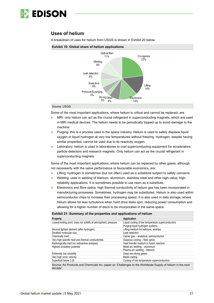

### **Uses of helium**

A breakdown of uses for helium from USGS is shown in Exhibit 20 below.

#### **Exhibit 10: Global share of helium applications**



#### Source: USGS

Some of the most important applications, where helium is critical and cannot be replaced, are:

- **MRI:** only helium can act as the crucial refrigerant in superconducting magnets, which are used in MRI medical devices. The helium needs to be periodically topped up to avoid damage to the machine.
- Purging: this is a process used in the space industry. Helium is used to safely displace liquid oxygen or liquid hydrogen at very low temperatures without freezing. Hydrogen, despite having similar properties, cannot be used due to its reactivity oxygen.
- **Laboratory:** helium is used in laboratories to cool superconducting equipment for accelerators, particle detectors and research magnets. Only helium can act as the crucial refrigerant in superconducting magnets.

Some of the most important applications, where helium can be replaced by other gases, although not necessarily with the same performance or favourable economics, are:

- Lifting: hydrogen is sometimes (but not often) used as a substitute subject to safety concerns.
- Welding: uses in welding of titanium, aluminium, stainless steel and other high-value, highreliability applications. It is sometimes possible to use neon as a substitute.
- **Electronics and fibre optics: high thermal conductivity of helium gas has been incorporated in** manufacturing processes. Sometimes, hydrogen may be substituted. Helium is also used within semiconductor chips to increase their processing speed. It is also used in data storage, where helium allows for less turbulence when hard drive disks spin, reducing power consumption and allowing for a higher number of discs to be incorporated in the same space.

#### **Exhibit 21: Summary of the properties and applications of helium**

| Property                                                                                                   | Application                                       |  |  |  |
|------------------------------------------------------------------------------------------------------------|---------------------------------------------------|--|--|--|
| Lowest boiling point; does not solidify at atmospheric pressure                                            | Liquid cooling of low temperature superconductors |  |  |  |
|                                                                                                            | Purging liquid hydrogen systems                   |  |  |  |
| Second lightest element (after hydrogen)                                                                   | Lifting medium for balloons, airships             |  |  |  |
| Smallest molecular size                                                                                    | Leak detection                                    |  |  |  |
| Chemically inert                                                                                           | Carrier gas - analytical, semiconductor           |  |  |  |
| Very high specific heat and thermal conductivities                                                         | Gaseous cooling - fibre optics                    |  |  |  |
| Radiologically inert (no radioactive isotopes)                                                             | Heat transfer medium in fusion reactors           |  |  |  |
| Highest ionisation potential                                                                               | Metal arc welding - aluminium                     |  |  |  |
|                                                                                                            | Plasma arc welding - titanium                     |  |  |  |
| Extremely low solubility                                                                                   | Deep sea diving gases                             |  |  |  |
| Very high sonic velocity                                                                                   | Metal coating                                     |  |  |  |
| Superfluid below 2.2k                                                                                      | Cooling of low temperature superconductors        |  |  |  |
| Source: Air Products and Chemicals Inc, paper on 'Challenges to the Worldwide Supply of helium in the next |                                                   |  |  |  |

decade'